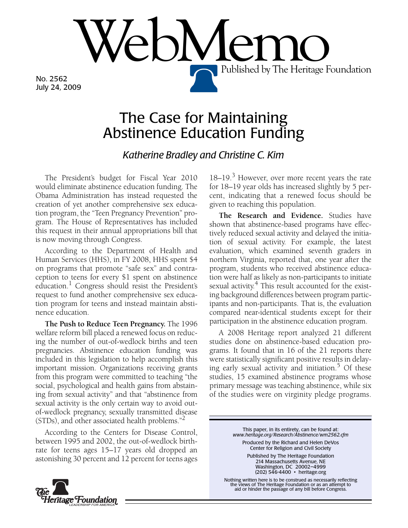No. 2562 July 24, 2009

## The Case for Maintaining Abstinence Education Funding

 $\mathsf{PNN}$ 

*Katherine Bradley and Christine C. Kim*

The President's budget for Fiscal Year 2010 would eliminate abstinence education funding. The Obama Administration has instead requested the creation of yet another comprehensive sex education program, the "Teen Pregnancy Prevention" program. The House of Representatives has included this request in their annual appropriations bill that is now moving through Congress.

According to the Department of Health and Human Services (HHS), in FY 2008, HHS spent \$4 on programs that promote "safe sex" and contraception to teens for every \$1 spent on abstinence education.<sup>1</sup> Congress should resist the President's request to fund another comprehensive sex education program for teens and instead maintain abstinence education.

**The Push to Reduce Teen Pregnancy.** The 1996 welfare reform bill placed a renewed focus on reducing the number of out-of-wedlock births and teen pregnancies. Abstinence education funding was included in this legislation to help accomplish this important mission. Organizations receiving grants from this program were committed to teaching "the social, psychological and health gains from abstaining from sexual activity" and that "abstinence from sexual activity is the only certain way to avoid outof-wedlock pregnancy, sexually transmitted disease (STDs), and other associated health problems."2

According to the Centers for Disease Control, between 1995 and 2002, the out-of-wedlock birthrate for teens ages 15–17 years old dropped an astonishing 30 percent and 12 percent for teens ages

18–19.<sup>3</sup> However, over more recent years the rate for 18–19 year olds has increased slightly by 5 percent, indicating that a renewed focus should be given to reaching this population.

Published by The Heritage Foundation

**The Research and Evidence.** Studies have shown that abstinence-based programs have effectively reduced sexual activity and delayed the initiation of sexual activity. For example, the latest evaluation, which examined seventh graders in northern Virginia, reported that, one year after the program, students who received abstinence education were half as likely as non-participants to initiate sexual activity. $4$  This result accounted for the existing background differences between program participants and non-participants. That is, the evaluation compared near-identical students except for their participation in the abstinence education program.

A 2008 Heritage report analyzed 21 different studies done on abstinence-based education programs. It found that in 16 of the 21 reports there were statistically significant positive results in delaying early sexual activity and initiation. $5$  Of these studies, 15 examined abstinence programs whose primary message was teaching abstinence, while six of the studies were on virginity pledge programs.

> This paper, in its entirety, can be found at: *www.heritage.org/Research/Abstinence/wm2562.cfm* Produced by the Richard and Helen DeVos Center for Religion and Civil Society

> > Published by The Heritage Foundation 214 Massachusetts Avenue, NE Washington, DC 20002–4999 (202) 546-4400 • heritage.org

Nothing written here is to be construed as necessarily reflecting the views of The Heritage Foundation or as an attempt to aid or hinder the passage of any bill before Congress.

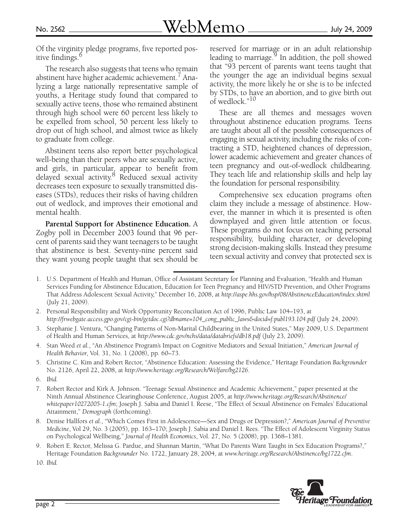Of the virginity pledge programs, five reported positive findings.<sup>6</sup>

The research also suggests that teens who remain abstinent have higher academic achievement.<sup>7</sup> Analyzing a large nationally representative sample of youths, a Heritage study found that compared to sexually active teens, those who remained abstinent through high school were 60 percent less likely to be expelled from school, 50 percent less likely to drop out of high school, and almost twice as likely to graduate from college.

Abstinent teens also report better psychological well-being than their peers who are sexually active, and girls, in particular, appear to benefit from delayed sexual activity.<sup>8</sup> Reduced sexual activity decreases teen exposure to sexually transmitted diseases (STDs), reduces their risks of having children out of wedlock, and improves their emotional and mental health.

**Parental Support for Abstinence Education.** A Zogby poll in December 2003 found that 96 percent of parents said they want teenagers to be taught that abstinence is best. Seventy-nine percent said they want young people taught that sex should be reserved for marriage or in an adult relationship leading to marriage.<sup>9</sup> In addition, the poll showed that "93 percent of parents want teens taught that the younger the age an individual begins sexual activity, the more likely he or she is to be infected by STDs, to have an abortion, and to give birth out of wedlock."10

These are all themes and messages woven throughout abstinence education programs. Teens are taught about all of the possible consequences of engaging in sexual activity, including the risks of contracting a STD, heightened chances of depression, lower academic achievement and greater chances of teen pregnancy and out-of-wedlock childbearing. They teach life and relationship skills and help lay the foundation for personal responsibility.

Comprehensive sex education programs often claim they include a message of abstinence. However, the manner in which it is presented is often downplayed and given little attention or focus. These programs do not focus on teaching personal responsibility, building character, or developing strong decision-making skills. Instead they presume teen sexual activity and convey that protected sex is

10. *Ibid.*



<sup>1.</sup> U.S. Department of Health and Human, Office of Assistant Secretary for Planning and Evaluation, "Health and Human Services Funding for Abstinence Education, Education for Teen Pregnancy and HIV/STD Prevention, and Other Programs That Address Adolescent Sexual Activity," December 16, 2008, at *http://aspe.hhs.gov/hsp/08/AbstinenceEducation/index.shtml* (July 21, 2009).

<sup>2.</sup> Personal Responsibility and Work Opportunity Reconciliation Act of 1996, Public Law 104–193, at *http://frwebgate.access.gpo.gov/cgi-bin/getdoc.cgi?dbname=104\_cong\_public\_laws&docid=f:publ193.104.pdf* (July 24, 2009).

<sup>3.</sup> Stephanie J. Ventura, "Changing Patterns of Non-Marital Childbearing in the United States," May 2009, U.S. Department of Health and Human Services, at *http://www.cdc.gov/nchs/data/databriefs/db18.pdf* (July 23, 2009).

<sup>4.</sup> Stan Weed *et al.*, "An Abstinence Program's Impact on Cognitive Mediators and Sexual Initiation," *American Journal of Health Behavior*, Vol. 31, No. 1 (2008), pp. 60–73.

<sup>5.</sup> Christine C. Kim and Robert Rector, "Abstinence Education: Assessing the Evidence," Heritage Foundation *Backgrounder* No. 2126, April 22, 2008, at *http://www.heritage.org/Research/Welfare/bg2126*.

<sup>6.</sup> *Ibid.*

<sup>7.</sup> Robert Rector and Kirk A. Johnson. "Teenage Sexual Abstinence and Academic Achievement," paper presented at the Ninth Annual Abstinence Clearinghouse Conference, August 2005, at *http://www.heritage.org/Research/Abstinence/ whitepaper10272005-1.cfm*; Joseph J. Sabia and Daniel I. Reese, "The Effect of Sexual Abstinence on Females' Educational Attainment," *Demograph* (forthcoming).

<sup>8.</sup> Denise Hallfors *et al.*, "Which Comes First in Adolescence—Sex and Drugs or Depression?," *American Journal of Preventive Medicine*, Vol 29, No. 3 (2005), pp. 163–170; Joseph J. Sabia and Daniel I. Rees. "The Effect of Adolescent Virginity Status on Psychological Wellbeing," *Journal of Health Economics*, Vol. 27, No. 5 (2008), pp. 1368–1381.

<sup>9.</sup> Robert E. Rector, Melissa G. Pardue, and Shannan Martin, "What Do Parents Want Taught in Sex Education Programs?," Heritage Foundation *Backgrounder* No. 1722, January 28, 2004, at *www.heritage.org/Research/Abstinence/bg1722.cfm*.